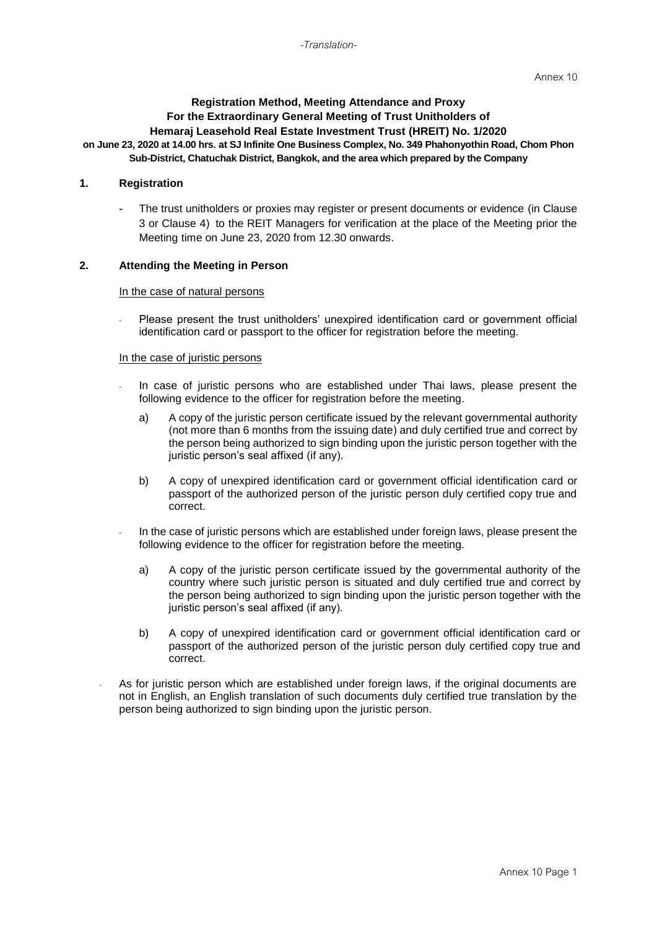# **Registration Method, Meeting Attendance and Proxy For the Extraordinary General Meeting of Trust Unitholders of Hemaraj Leasehold Real Estate Investment Trust (HREIT) No. 1/2020**

#### **on June 23, 2020 at 14.00 hrs. at SJ Infinite One Business Complex, No. 349 Phahonyothin Road, Chom Phon Sub-District, Chatuchak District, Bangkok, and the area which prepared by the Company**

### **1. Registration**

The trust unitholders or proxies may register or present documents or evidence (in Clause 3 or Clause 4) to the REIT Managers for verification at the place of the Meeting prior the Meeting time on June 23, 2020 from 12.30 onwards.

### **2. Attending the Meeting in Person**

#### In the case of natural persons

Please present the trust unitholders' unexpired identification card or government official identification card or passport to the officer for registration before the meeting.

#### In the case of juristic persons

- In case of juristic persons who are established under Thai laws, please present the following evidence to the officer for registration before the meeting.
	- a) A copy of the juristic person certificate issued by the relevant governmental authority (not more than 6 months from the issuing date) and duly certified true and correct by the person being authorized to sign binding upon the juristic person together with the juristic person's seal affixed (if any).
	- b) A copy of unexpired identification card or government official identification card or passport of the authorized person of the juristic person duly certified copy true and correct.
- In the case of juristic persons which are established under foreign laws, please present the following evidence to the officer for registration before the meeting.
	- a) A copy of the juristic person certificate issued by the governmental authority of the country where such juristic person is situated and duly certified true and correct by the person being authorized to sign binding upon the juristic person together with the juristic person's seal affixed (if any).
	- b) A copy of unexpired identification card or government official identification card or passport of the authorized person of the juristic person duly certified copy true and correct.
- As for juristic person which are established under foreign laws, if the original documents are not in English, an English translation of such documents duly certified true translation by the person being authorized to sign binding upon the juristic person.